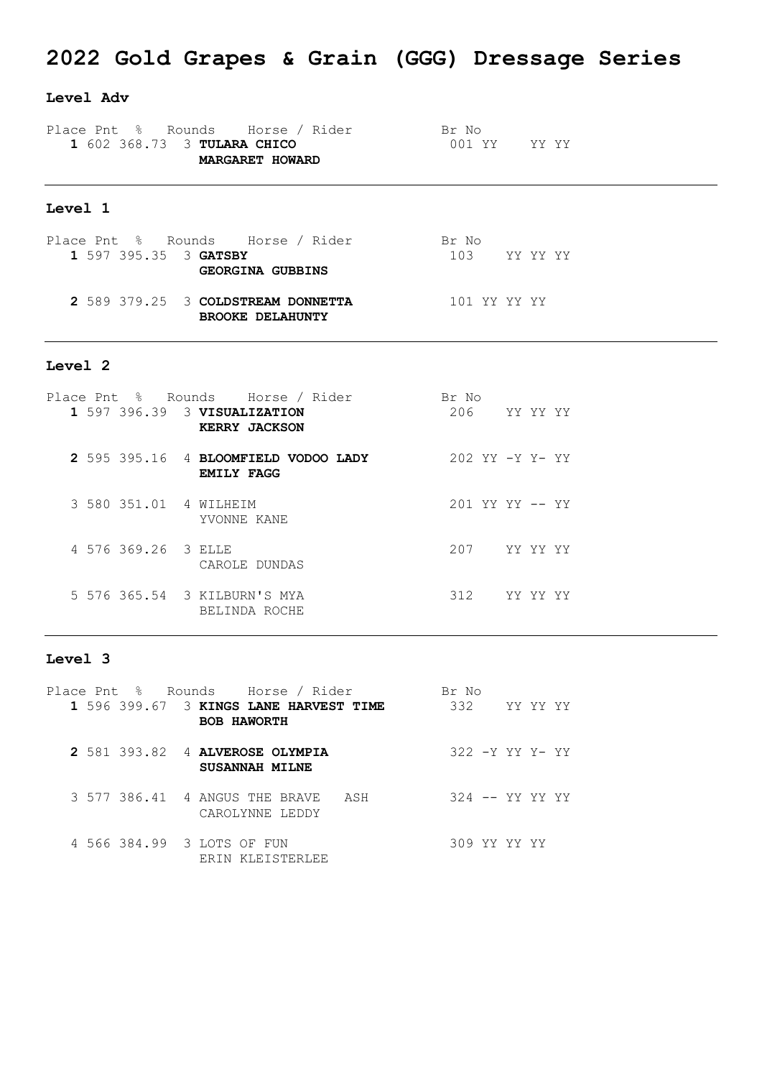## **2022 Gold Grapes & Grain (GGG) Dressage Series**

#### **Level Adv**

|  | Place Pnt % Rounds Horse / Rider |  | Br No        |  |
|--|----------------------------------|--|--------------|--|
|  | 1 602 368.73 3 TULARA CHICO      |  | 001 YY YY YY |  |
|  | <b>MARGARET HOWARD</b>           |  |              |  |
|  |                                  |  |              |  |

### **Level 1**

|  |  |                       | Place Pnt % Rounds Horse / Rider                              |  | Br No        |  |  |
|--|--|-----------------------|---------------------------------------------------------------|--|--------------|--|--|
|  |  | 1 597 395.35 3 GATSBY |                                                               |  | 103 YY YY YY |  |  |
|  |  |                       | <b>GEORGINA GUBBINS</b>                                       |  |              |  |  |
|  |  |                       | 2 589 379.25 3 COLDSTREAM DONNETTA<br><b>BROOKE DELAHUNTY</b> |  | 101 YY YY YY |  |  |

#### **Level 2**

|  |                        | Place Pnt % Rounds Horse / Rider                          | Br No           |          |  |
|--|------------------------|-----------------------------------------------------------|-----------------|----------|--|
|  |                        | 1 597 396.39 3 VISUALIZATION<br><b>KERRY JACKSON</b>      | 206             | YY YY YY |  |
|  |                        | 2 595 395.16 4 BLOOMFIELD VODOO LADY<br><b>EMILY FAGG</b> | 202 YY -Y Y- YY |          |  |
|  | 3 580 351.01 4 WILHEIM | YVONNE KANE                                               | 201 YY YY -- YY |          |  |
|  | 4 576 369.26 3 ELLE    | CAROLE DUNDAS                                             | 207             | YY YY YY |  |
|  |                        | 5 576 365.54 3 KILBURN'S MYA<br>BELINDA ROCHE             | 312             | YY YY YY |  |

#### **Level 3**

| Place Pnt % Rounds Horse / Rider                             | Br No           |
|--------------------------------------------------------------|-----------------|
| 1 596 399.67 3 KINGS LANE HARVEST TIME<br><b>BOB HAWORTH</b> | 332<br>YY YY YY |
| 2 581 393.82 4 ALVEROSE OLYMPIA<br><b>SUSANNAH MILNE</b>     | 322 -Y YY Y- YY |
| 3 577 386.41 4 ANGUS THE BRAVE<br>ASH<br>CAROLYNNE LEDDY     | 324 -- YY YY YY |
| 4 566 384.99 3 LOTS OF FUN<br>ERIN KLEISTERLEE               | 309 YY YY YY    |